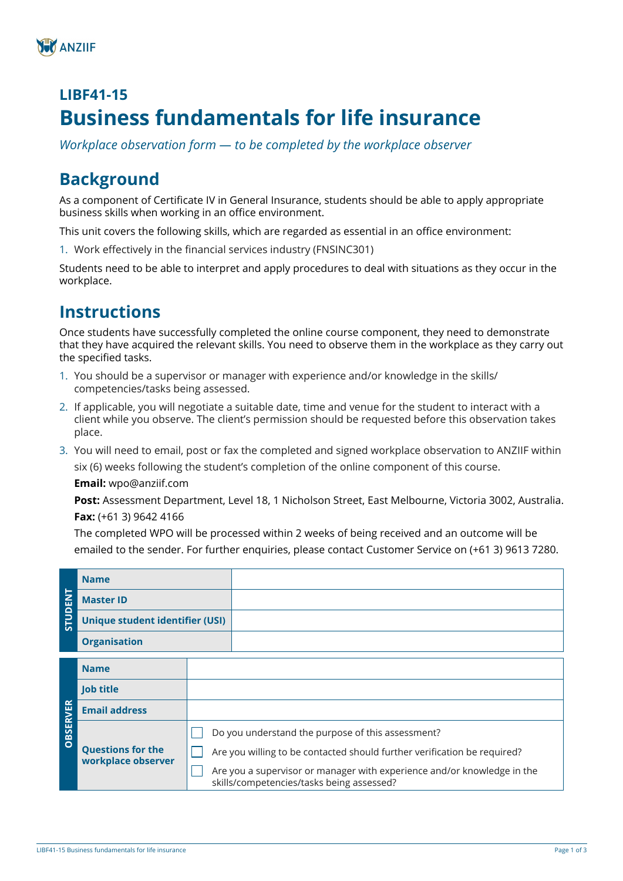# **LIBF41-15 Business fundamentals for life insurance**

*Workplace observation form — to be completed by the workplace observer*

# **Background**

As a component of Certificate IV in General Insurance, students should be able to apply appropriate business skills when working in an office environment.

This unit covers the following skills, which are regarded as essential in an office environment:

1. Work effectively in the financial services industry (FNSINC301)

Students need to be able to interpret and apply procedures to deal with situations as they occur in the workplace.

## **Instructions**

Once students have successfully completed the online course component, they need to demonstrate that they have acquired the relevant skills. You need to observe them in the workplace as they carry out the specified tasks.

- 1. You should be a supervisor or manager with experience and/or knowledge in the skills/ competencies/tasks being assessed.
- 2. If applicable, you will negotiate a suitable date, time and venue for the student to interact with a client while you observe. The client's permission should be requested before this observation takes place.
- 3. You will need to email, post or fax the completed and signed workplace observation to ANZIIF within six (6) weeks following the student's completion of the online component of this course. **Email:** wpo@anziif.com

**Post:** Assessment Department, Level 18, 1 Nicholson Street, East Melbourne, Victoria 3002, Australia.

**Fax:** (+61 3) 9642 4166

The completed WPO will be processed within 2 weeks of being received and an outcome will be emailed to the sender. For further enquiries, please contact Customer Service on (+61 3) 9613 7280.

|                   | <b>Name</b>                                    |                                                                                                                      |
|-------------------|------------------------------------------------|----------------------------------------------------------------------------------------------------------------------|
| 급<br><b>STUDI</b> | <b>Master ID</b>                               |                                                                                                                      |
|                   | <b>Unique student identifier (USI)</b>         |                                                                                                                      |
|                   | <b>Organisation</b>                            |                                                                                                                      |
|                   |                                                |                                                                                                                      |
|                   | <b>Name</b>                                    |                                                                                                                      |
| <b>OBSERVER</b>   | <b>Job title</b>                               |                                                                                                                      |
|                   | <b>Email address</b>                           |                                                                                                                      |
|                   | <b>Questions for the</b><br>workplace observer | Do you understand the purpose of this assessment?                                                                    |
|                   |                                                | Are you willing to be contacted should further verification be required?                                             |
|                   |                                                | Are you a supervisor or manager with experience and/or knowledge in the<br>skills/competencies/tasks being assessed? |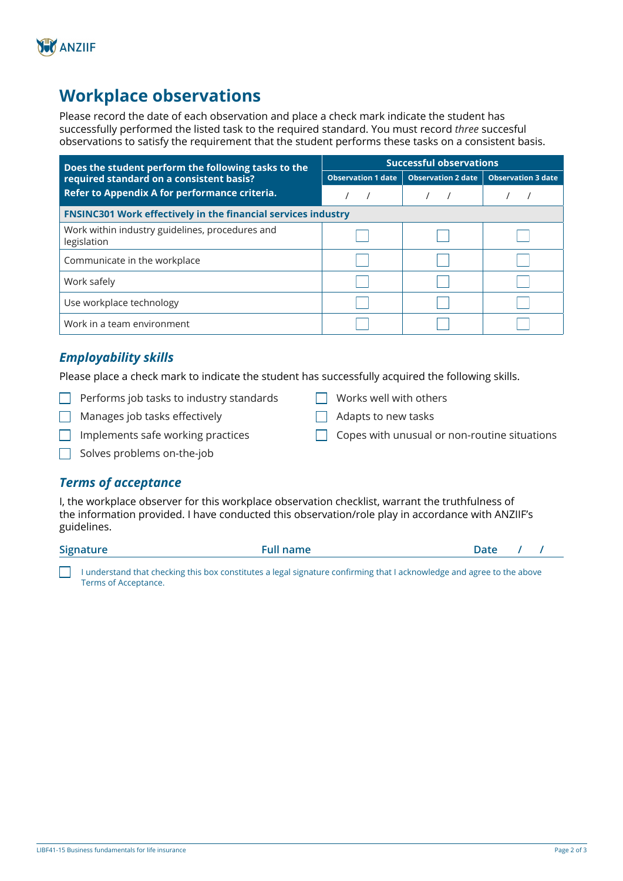

## **Workplace observations**

Please record the date of each observation and place a check mark indicate the student has successfully performed the listed task to the required standard. You must record *three* succesful observations to satisfy the requirement that the student performs these tasks on a consistent basis.

| Does the student perform the following tasks to the            | <b>Successful observations</b> |                           |                           |  |
|----------------------------------------------------------------|--------------------------------|---------------------------|---------------------------|--|
| required standard on a consistent basis?                       | <b>Observation 1 date</b>      | <b>Observation 2 date</b> | <b>Observation 3 date</b> |  |
| Refer to Appendix A for performance criteria.                  |                                |                           |                           |  |
| FNSINC301 Work effectively in the financial services industry  |                                |                           |                           |  |
| Work within industry guidelines, procedures and<br>legislation |                                |                           |                           |  |
| Communicate in the workplace                                   |                                |                           |                           |  |
| Work safely                                                    |                                |                           |                           |  |
| Use workplace technology                                       |                                |                           |                           |  |
| Work in a team environment                                     |                                |                           |                           |  |

### *Employability skills*

Please place a check mark to indicate the student has successfully acquired the following skills.

- $\Box$  Performs job tasks to industry standards
- $\Box$  Manages job tasks effectively
- Adapts to new tasks

 $\Box$  Works well with others

- 
- $\Box$  Implements safe working practices
- Copes with unusual or non-routine situations

 $\Box$  Solves problems on-the-job

### *Terms of acceptance*

I, the workplace observer for this workplace observation checklist, warrant the truthfulness of the information provided. I have conducted this observation/role play in accordance with ANZIIF's guidelines.

| Signature | $P^{\prime}$ | Aafe |  |
|-----------|--------------|------|--|
|           |              |      |  |

I understand that checking this box constitutes a legal signature confirming that I acknowledge and agree to the above Terms of Acceptance.